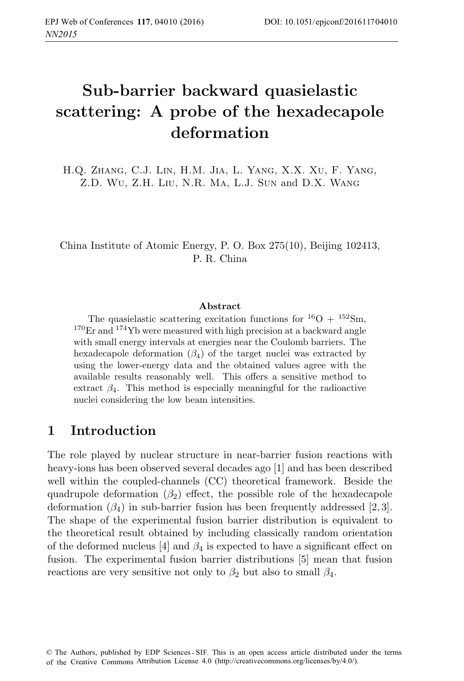# **Sub-barrier backward quasielastic scattering: A probe of the hexadecapole deformation**

Z.D. Wu, Z.H. Liu, N.R. MA, L.J. Sun and D.X. WANG

China Institute of Atomic Energy, P. O. Box 275(10), Beijing 102413, P. R. China

#### **Abstract**

The quasielastic scattering excitation functions for  ${}^{16}O + {}^{152}Sm$ ,  $170Er$  and  $174Yb$  were measured with high precision at a backward angle with small energy intervals at energies near the Coulomb barriers. The hexadecapole deformation  $(\beta_4)$  of the target nuclei was extracted by using the lower-energy data and the obtained values agree with the available results reasonably well. This offers a sensitive method to extract  $\beta_4$ . This method is especially meaningful for the radioactive nuclei considering the low beam intensities.

#### **1 Introduction**

The role played by nuclear structure in near-barrier fusion reactions with heavy-ions has been observed several decades ago [1] and has been described well within the coupled-channels (CC) theoretical framework. Beside the quadrupole deformation  $(\beta_2)$  effect, the possible role of the hexadecapole deformation  $(\beta_4)$  in sub-barrier fusion has been frequently addressed [2,3]. The shape of the experimental fusion barrier distribution is equivalent to the theoretical result obtained by including classically random orientation of the deformed nucleus [4] and  $\beta_4$  is expected to have a significant effect on fusion. The experimental fusion barrier distributions [5] mean that fusion reactions are very sensitive not only to  $\beta_2$  but also to small  $\beta_4$ .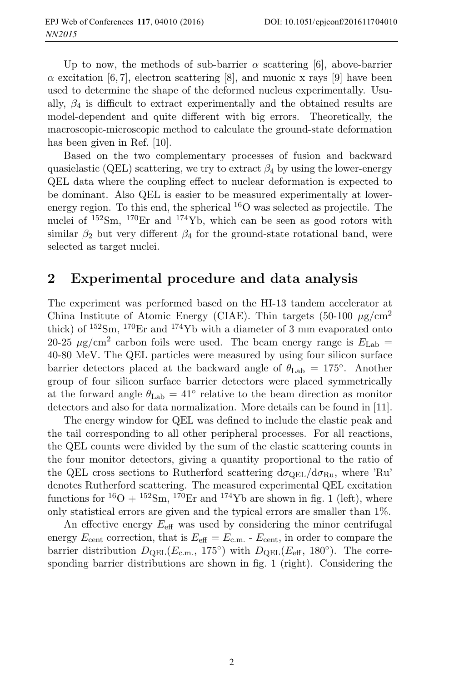Up to now, the methods of sub-barrier  $\alpha$  scattering [6], above-barrier  $\alpha$  excitation [6, 7], electron scattering [8], and muonic x rays [9] have been used to determine the shape of the deformed nucleus experimentally. Usually,  $\beta_4$  is difficult to extract experimentally and the obtained results are model-dependent and quite different with big errors. Theoretically, the macroscopic-microscopic method to calculate the ground-state deformation has been given in Ref. [10].

Based on the two complementary processes of fusion and backward quasielastic (QEL) scattering, we try to extract  $\beta_4$  by using the lower-energy QEL data where the coupling effect to nuclear deformation is expected to be dominant. Also QEL is easier to be measured experimentally at lowerenergy region. To this end, the spherical  $^{16}O$  was selected as projectile. The nuclei of  $152\text{Sm}$ ,  $170\text{Er}$  and  $174\text{Yb}$ , which can be seen as good rotors with similar  $\beta_2$  but very different  $\beta_4$  for the ground-state rotational band, were selected as target nuclei.

#### **2 Experimental procedure and data analysis**

The experiment was performed based on the HI-13 tandem accelerator at China Institute of Atomic Energy (CIAE). Thin targets (50-100  $\mu$ g/cm<sup>2</sup> thick) of  $152\text{Sm}$ ,  $170\text{Er}$  and  $174\text{Yb}$  with a diameter of 3 mm evaporated onto 20-25  $\mu$ g/cm<sup>2</sup> carbon foils were used. The beam energy range is  $E_{\text{Lab}} =$ 40-80 MeV. The QEL particles were measured by using four silicon surface barrier detectors placed at the backward angle of  $\theta_{\text{Lab}} = 175^{\circ}$ . Another group of four silicon surface barrier detectors were placed symmetrically at the forward angle  $\theta_{\text{Lab}} = 41^{\circ}$  relative to the beam direction as monitor detectors and also for data normalization. More details can be found in [11].

The energy window for QEL was defined to include the elastic peak and the tail corresponding to all other peripheral processes. For all reactions, the QEL counts were divided by the sum of the elastic scattering counts in the four monitor detectors, giving a quantity proportional to the ratio of the QEL cross sections to Rutherford scattering  $d\sigma_{QEL}/d\sigma_{Ru}$ , where 'Ru' denotes Rutherford scattering. The measured experimental QEL excitation functions for  ${}^{16}O + {}^{152}Sm$ ,  ${}^{170}Er$  and  ${}^{174}Yb$  are shown in fig. 1 (left), where only statistical errors are given and the typical errors are smaller than 1%.

An effective energy  $E_{\text{eff}}$  was used by considering the minor centrifugal energy  $E_{\text{cent}}$  correction, that is  $E_{\text{eff}} = E_{\text{c.m.}}$  -  $E_{\text{cent}}$ , in order to compare the barrier distribution  $D_{\text{QEL}}(E_{\text{c.m.}}, 175^{\circ})$  with  $D_{\text{QEL}}(E_{\text{eff}}, 180^{\circ})$ . The corresponding barrier distributions are shown in fig. 1 (right). Considering the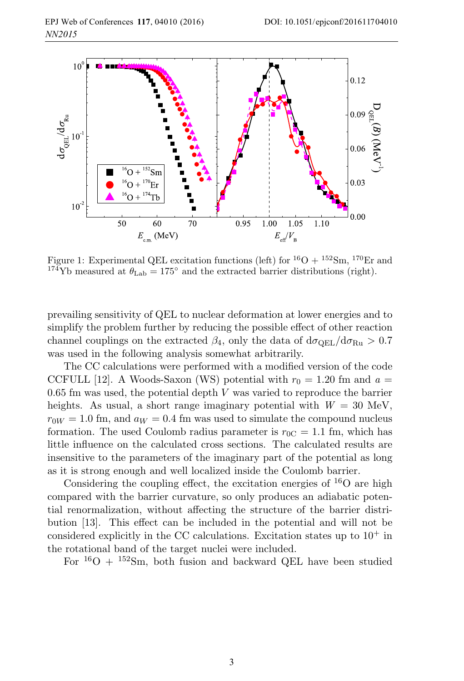

Figure 1: Experimental QEL excitation functions (left) for  ${}^{16}O + {}^{152}Sm$ ,  ${}^{170}Er$  and <sup>174</sup>Yb measured at  $\theta_{\text{Lab}} = 175^{\circ}$  and the extracted barrier distributions (right).

prevailing sensitivity of QEL to nuclear deformation at lower energies and to simplify the problem further by reducing the possible effect of other reaction channel couplings on the extracted  $\beta_4$ , only the data of  $d\sigma_{\text{QEL}}/d\sigma_{\text{Ru}} > 0.7$ was used in the following analysis somewhat arbitrarily.

The CC calculations were performed with a modified version of the code CCFULL [12]. A Woods-Saxon (WS) potential with  $r_0 = 1.20$  fm and  $a =$  $0.65$  fm was used, the potential depth  $V$  was varied to reproduce the barrier heights. As usual, a short range imaginary potential with  $W = 30$  MeV,  $r_{0W} = 1.0$  fm, and  $a_W = 0.4$  fm was used to simulate the compound nucleus formation. The used Coulomb radius parameter is  $r_{0C} = 1.1$  fm, which has little influence on the calculated cross sections. The calculated results are insensitive to the parameters of the imaginary part of the potential as long as it is strong enough and well localized inside the Coulomb barrier.

Considering the coupling effect, the excitation energies of  $^{16}O$  are high compared with the barrier curvature, so only produces an adiabatic potential renormalization, without affecting the structure of the barrier distribution [13]. This effect can be included in the potential and will not be considered explicitly in the CC calculations. Excitation states up to  $10^+$  in the rotational band of the target nuclei were included.

For  ${}^{16}O + {}^{152}Sm$ , both fusion and backward QEL have been studied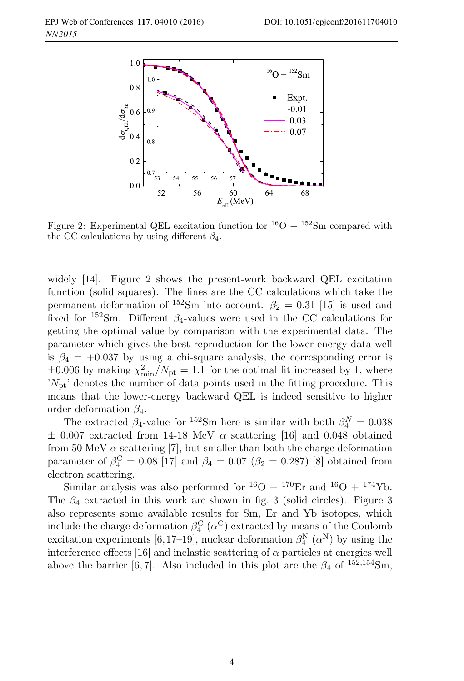

Figure 2: Experimental QEL excitation function for  ${}^{16}O + {}^{152}Sm$  compared with the CC calculations by using different  $\beta_4$ .

widely [14]. Figure 2 shows the present-work backward QEL excitation function (solid squares). The lines are the CC calculations which take the permanent deformation of <sup>152</sup>Sm into account.  $\beta_2 = 0.31$  [15] is used and fixed for  $152$ Sm. Different  $\beta_4$ -values were used in the CC calculations for getting the optimal value by comparison with the experimental data. The parameter which gives the best reproduction for the lower-energy data well is  $\beta_4 = +0.037$  by using a chi-square analysis, the corresponding error is  $\pm 0.006$  by making  $\chi_{\text{min}}^2/N_{\text{pt}} = 1.1$  for the optimal fit increased by 1, where  $N_{\rm pt}$ ' denotes the number of data points used in the fitting procedure. This means that the lower-energy backward QEL is indeed sensitive to higher order deformation  $\beta_4$ .

The extracted  $\beta_4$ -value for <sup>152</sup>Sm here is similar with both  $\beta_4^N = 0.038$  $\pm$  0.007 extracted from 14-18 MeV  $\alpha$  scattering [16] and 0.048 obtained from 50 MeV  $\alpha$  scattering [7], but smaller than both the charge deformation parameter of  $\beta_4^{\text{C}} = 0.08$  [17] and  $\beta_4 = 0.07$  ( $\beta_2 = 0.287$ ) [8] obtained from electron scattering.

Similar analysis was also performed for  ${}^{16}O + {}^{170}Er$  and  ${}^{16}O + {}^{174}Yb$ . The  $\beta_4$  extracted in this work are shown in fig. 3 (solid circles). Figure 3 also represents some available results for Sm, Er and Yb isotopes, which include the charge deformation  $\beta_4^{\rm C}$  ( $\alpha^{\rm C}$ ) extracted by means of the Coulomb excitation experiments [6,17–19], nuclear deformation  $\beta_4^N(\alpha^N)$  by using the interference effects [16] and inelastic scattering of  $\alpha$  particles at energies well above the barrier [6, 7]. Also included in this plot are the  $\beta_4$  of  $^{152,154}$ Sm,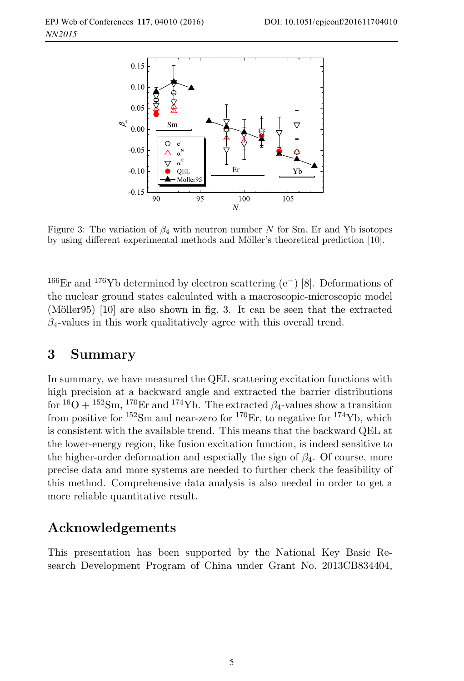

Figure 3: The variation of  $\beta_4$  with neutron number N for Sm, Er and Yb isotopes by using different experimental methods and Möller's theoretical prediction [10].

<sup>166</sup>Er and <sup>176</sup>Yb determined by electron scattering  $(e^-)$  [8]. Deformations of the nuclear ground states calculated with a macroscopic-microscopic model (Möller95)  $[10]$  are also shown in fig. 3. It can be seen that the extracted  $\beta_4$ -values in this work qualitatively agree with this overall trend.

### **3 Summary**

In summary, we have measured the QEL scattering excitation functions with high precision at a backward angle and extracted the barrier distributions for  ${}^{16}O + {}^{152}Sm$ ,  ${}^{170}Er$  and  ${}^{174}Yb$ . The extracted  $\beta_4$ -values show a transition from positive for  $152$ Sm and near-zero for  $170$ Er, to negative for  $174$ Yb, which is consistent with the available trend. This means that the backward QEL at the lower-energy region, like fusion excitation function, is indeed sensitive to the higher-order deformation and especially the sign of  $\beta_4$ . Of course, more precise data and more systems are needed to further check the feasibility of this method. Comprehensive data analysis is also needed in order to get a more reliable quantitative result.

## **Acknowledgements**

This presentation has been supported by the National Key Basic Research Development Program of China under Grant No. 2013CB834404,